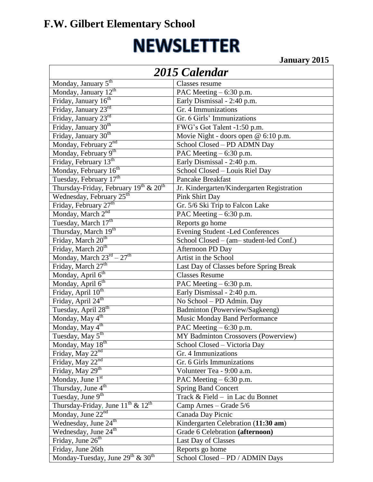## **F.W. Gilbert Elementary School**

# **NEWSLETTER**

**January 2015**

| 2015 Calendar                                                 |                                            |  |
|---------------------------------------------------------------|--------------------------------------------|--|
| Monday, January $5^{\text{th}}$                               | Classes resume                             |  |
| Monday, January 12 <sup>th</sup>                              | PAC Meeting – 6:30 p.m.                    |  |
| Friday, January 16th                                          | Early Dismissal - 2:40 p.m.                |  |
| Friday, January 23rd                                          | Gr. 4 Immunizations                        |  |
| Friday, January 23rd                                          | Gr. 6 Girls' Immunizations                 |  |
| Friday, January 30 <sup>th</sup>                              | FWG's Got Talent -1:50 p.m.                |  |
| Friday, January 30 <sup>th</sup>                              | Movie Night - doors open @ 6:10 p.m.       |  |
| Monday, February 2nd                                          | School Closed - PD ADMN Day                |  |
| Monday, February 9th                                          | PAC Meeting $-6:30 \text{ p.m.}$           |  |
| Friday, February 13 <sup>th</sup>                             | Early Dismissal - 2:40 p.m.                |  |
| Monday, February $16^{\text{th}}$                             | School Closed - Louis Riel Day             |  |
| Tuesday, February 17th                                        | <b>Pancake Breakfast</b>                   |  |
| Thursday-Friday, February 19 <sup>th</sup> & 20 <sup>th</sup> | Jr. Kindergarten/Kindergarten Registration |  |
| Wednesday, February 25 <sup>th</sup>                          | Pink Shirt Day                             |  |
| Friday, February 27 <sup>th</sup>                             | Gr. 5/6 Ski Trip to Falcon Lake            |  |
| Monday, March 2 <sup>nd</sup>                                 | PAC Meeting - 6:30 p.m.                    |  |
| Tuesday, March 17th                                           | Reports go home                            |  |
| Thursday, March 19th                                          | <b>Evening Student -Led Conferences</b>    |  |
| Friday, March 20 <sup>th</sup>                                | School Closed – (am– student-led Conf.)    |  |
| Friday, March 20 <sup>th</sup>                                | Afternoon PD Day                           |  |
| Monday, March $23^{rd} - 27^{th}$                             | Artist in the School                       |  |
| Friday, March 27 <sup>th</sup>                                | Last Day of Classes before Spring Break    |  |
| Monday, April 6 <sup>th</sup>                                 | <b>Classes Resume</b>                      |  |
| Monday, April 6 <sup>th</sup>                                 | PAC Meeting - 6:30 p.m.                    |  |
| Friday, April 10 <sup>th</sup>                                | Early Dismissal - 2:40 p.m.                |  |
| Friday, April 24 <sup>th</sup>                                | No School - PD Admin. Day                  |  |
| Tuesday, April 28 <sup>th</sup>                               | Badminton (Powerview/Sagkeeng)             |  |
| Monday, May $4^{\text{th}}$                                   | <b>Music Monday Band Performance</b>       |  |
| Monday, $\overline{May}$ 4 <sup>th</sup>                      | PAC Meeting – 6:30 p.m.                    |  |
| Tuesday, May 5 <sup>th</sup>                                  | MY Badminton Crossovers (Powerview)        |  |
| Monday, May $18^{th}$                                         | School Closed - Victoria Day               |  |
| Friday, May $22^{\overline{nd}}$                              | Gr. 4 Immunizations                        |  |
| Friday, May 22nd                                              | Gr. 6 Girls Immunizations                  |  |
| Friday, May 29th                                              | Volunteer Tea - 9:00 a.m.                  |  |
| Monday, June $1st$                                            | PAC Meeting – 6:30 p.m.                    |  |
| Thursday, June 4 <sup>th</sup>                                | <b>Spring Band Concert</b>                 |  |
| Tuesday, June 9 <sup>th</sup>                                 | Track & Field - in Lac du Bonnet           |  |
| Thursday-Friday, June 11 <sup>th</sup> & 12 <sup>th</sup>     | Camp Arnes - Grade 5/6                     |  |
| Monday, June 22nd                                             | Canada Day Picnic                          |  |
| Wednesday, June 24 <sup>th</sup>                              | Kindergarten Celebration (11:30 am)        |  |
| Wednesday, June 24 <sup>th</sup>                              | Grade 6 Celebration (afternoon)            |  |
| Friday, June 26 <sup>th</sup>                                 | Last Day of Classes                        |  |
| Friday, June 26th                                             | Reports go home                            |  |
| Monday-Tuesday, June 29 <sup>th</sup> & 30 <sup>th</sup>      | School Closed - PD / ADMIN Days            |  |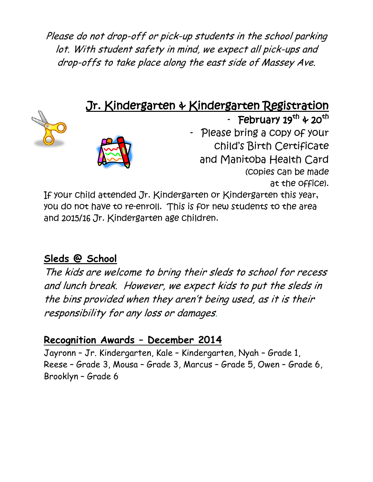Please do not drop-off or pick-up students in the school parking lot. With student safety in mind, we expect all pick-ups and drop-offs to take place along the east side of Massey Ave.

### Jr. Kindergarten & Kindergarten Registration





- February 19<sup>th</sup> & 20<sup>th</sup> Please bring a copy of your child's Birth Certificate and Manitoba Health Card (copies can be made at the office).

If your child attended Jr. Kindergarten or Kindergarten this year, you do not have to re-enroll. This is for new students to the area and 2015/16 Jr. Kindergarten age children.

#### **Sleds @ School**

The kids are welcome to bring their sleds to school for recess and lunch break. However, we expect kids to put the sleds in the bins provided when they aren't being used, as it is their responsibility for any loss or damages.

#### **Recognition Awards – December 2014**

Jayronn – Jr. Kindergarten, Kale – Kindergarten, Nyah – Grade 1, Reese – Grade 3, Mousa – Grade 3, Marcus – Grade 5, Owen – Grade 6, Brooklyn – Grade 6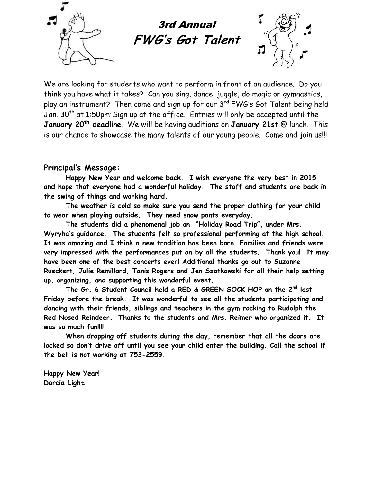

3rd Annual **FWG' <sup>s</sup> Got Talent**



We are looking for students who want to perform in front of an audience. Do you think you have what it takes? Can you sing, dance, juggle, do magic or gymnastics, play an instrument? Then come and sign up for our 3 $^{\mathsf{rd}}$  FWG's Got Talent being held Jan.  $30<sup>th</sup>$  at 1:50pm Sign up at the office. Entries will only be accepted until the **January 20th deadline**. We will be having auditions on **January 21st** @ lunch. This is our chance to showcase the many talents of our young people. Come and join us!!!

#### **Principal's Message:**

**Happy New Year and welcome back. I wish everyone the very best in 2015 and hope that everyone had a wonderful holiday. The staff and students are back in the swing of things and working hard.**

**The weather is cold so make sure you send the proper clothing for your child to wear when playing outside. They need snow pants everyday.** 

**The students did a phenomenal job on "Holiday Road Trip", under Mrs. Wyryha's guidance. The students felt so professional performing at the high school. It was amazing and I think a new tradition has been born. Families and friends were very impressed with the performances put on by all the students. Thank you! It may have been one of the best concerts ever! Additional thanks go out to Suzanne Rueckert, Julie Remillard, Tanis Rogers and Jen Szatkowski for all their help setting up, organizing, and supporting this wonderful event.**

**The Gr. 6 Student Council held a RED & GREEN SOCK HOP on the 2nd last Friday before the break. It was wonderful to see all the students participating and dancing with their friends, siblings and teachers in the gym rocking to Rudolph the Red Nosed Reindeer. Thanks to the students and Mrs. Reimer who organized it. It was so much fun!!!!** 

**When dropping off students during the day, remember that all the doors are locked so don't drive off until you see your child enter the building. Call the school if the bell is not working at 753-2559.**

**Happy New Year! Darcia Light**